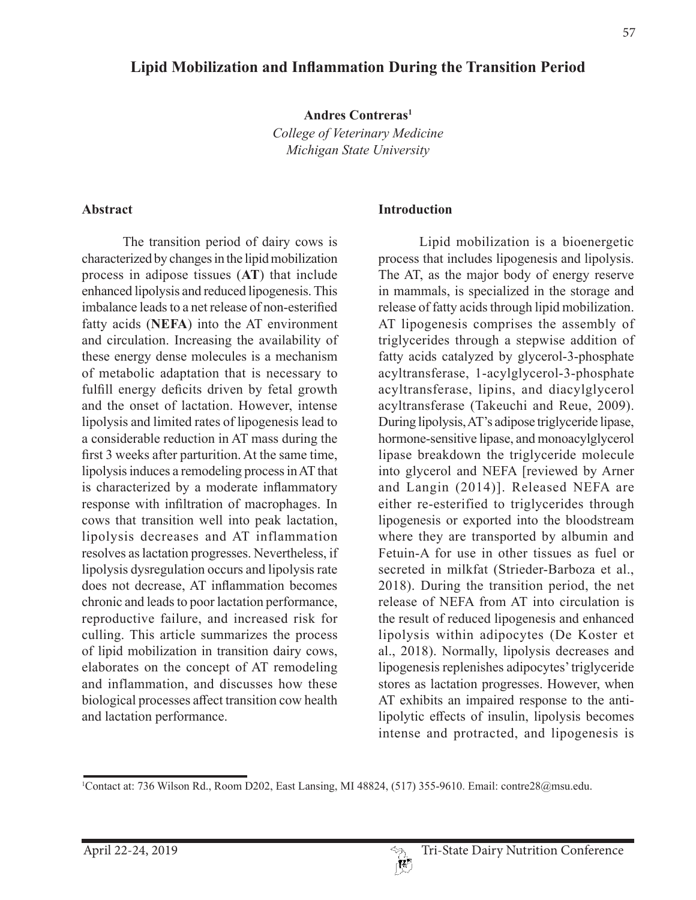# **Lipid Mobilization and Inflammation During the Transition Period**

**Andres Contreras1**

*College of Veterinary Medicine Michigan State University*

#### **Abstract**

The transition period of dairy cows is characterized by changes in the lipid mobilization process in adipose tissues (**AT**) that include enhanced lipolysis and reduced lipogenesis. This imbalance leads to a net release of non-esterified fatty acids (**NEFA**) into the AT environment and circulation. Increasing the availability of these energy dense molecules is a mechanism of metabolic adaptation that is necessary to fulfill energy deficits driven by fetal growth and the onset of lactation. However, intense lipolysis and limited rates of lipogenesis lead to a considerable reduction in AT mass during the first 3 weeks after parturition. At the same time, lipolysis induces a remodeling process in AT that is characterized by a moderate inflammatory response with infiltration of macrophages. In cows that transition well into peak lactation, lipolysis decreases and AT inflammation resolves as lactation progresses. Nevertheless, if lipolysis dysregulation occurs and lipolysis rate does not decrease, AT inflammation becomes chronic and leads to poor lactation performance, reproductive failure, and increased risk for culling. This article summarizes the process of lipid mobilization in transition dairy cows, elaborates on the concept of AT remodeling and inflammation, and discusses how these biological processes affect transition cow health and lactation performance.

#### **Introduction**

Lipid mobilization is a bioenergetic process that includes lipogenesis and lipolysis. The AT, as the major body of energy reserve in mammals, is specialized in the storage and release of fatty acids through lipid mobilization. AT lipogenesis comprises the assembly of triglycerides through a stepwise addition of fatty acids catalyzed by glycerol-3-phosphate acyltransferase, 1-acylglycerol-3-phosphate acyltransferase, lipins, and diacylglycerol acyltransferase (Takeuchi and Reue, 2009). During lipolysis, AT's adipose triglyceride lipase, hormone-sensitive lipase, and monoacylglycerol lipase breakdown the triglyceride molecule into glycerol and NEFA [reviewed by Arner and Langin (2014)]. Released NEFA are either re-esterified to triglycerides through lipogenesis or exported into the bloodstream where they are transported by albumin and Fetuin-A for use in other tissues as fuel or secreted in milkfat (Strieder-Barboza et al., 2018). During the transition period, the net release of NEFA from AT into circulation is the result of reduced lipogenesis and enhanced lipolysis within adipocytes (De Koster et al., 2018). Normally, lipolysis decreases and lipogenesis replenishes adipocytes' triglyceride stores as lactation progresses. However, when AT exhibits an impaired response to the antilipolytic effects of insulin, lipolysis becomes intense and protracted, and lipogenesis is

<sup>1</sup> Contact at: 736 Wilson Rd., Room D202, East Lansing, MI 48824, (517) 355-9610. Email: contre28@msu.edu.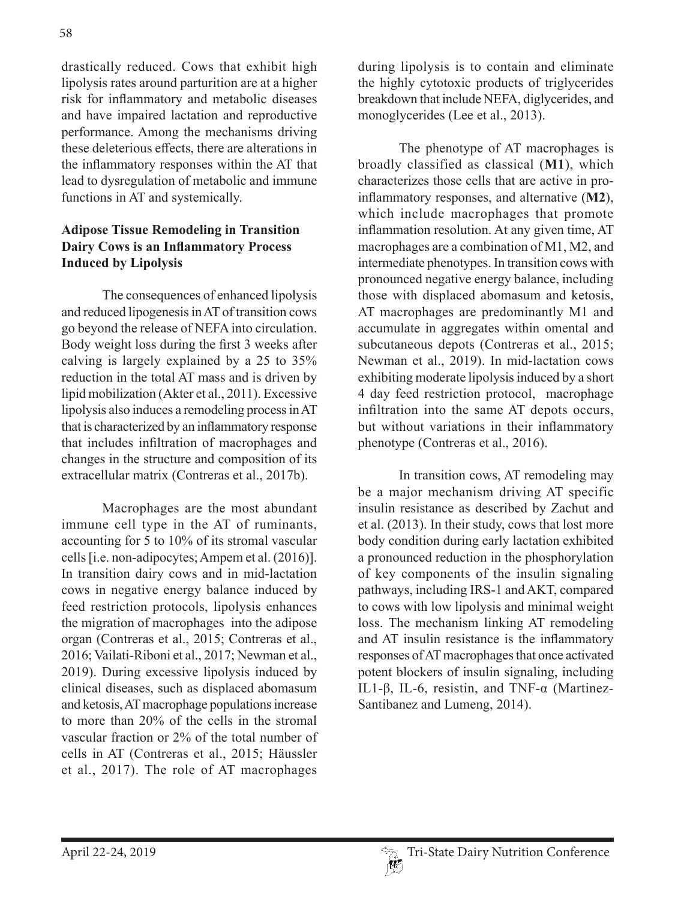drastically reduced. Cows that exhibit high lipolysis rates around parturition are at a higher risk for inflammatory and metabolic diseases and have impaired lactation and reproductive performance. Among the mechanisms driving these deleterious effects, there are alterations in the inflammatory responses within the AT that lead to dysregulation of metabolic and immune functions in AT and systemically.

#### **Adipose Tissue Remodeling in Transition Dairy Cows is an Inflammatory Process Induced by Lipolysis**

The consequences of enhanced lipolysis and reduced lipogenesis in AT of transition cows go beyond the release of NEFA into circulation. Body weight loss during the first 3 weeks after calving is largely explained by a 25 to 35% reduction in the total AT mass and is driven by lipid mobilization (Akter et al., 2011). Excessive lipolysis also induces a remodeling process in AT that is characterized by an inflammatory response that includes infiltration of macrophages and changes in the structure and composition of its extracellular matrix (Contreras et al., 2017b).

Macrophages are the most abundant immune cell type in the AT of ruminants, accounting for 5 to 10% of its stromal vascular cells [i.e. non-adipocytes; Ampem et al. (2016)]. In transition dairy cows and in mid-lactation cows in negative energy balance induced by feed restriction protocols, lipolysis enhances the migration of macrophages into the adipose organ (Contreras et al., 2015; Contreras et al., 2016; Vailati-Riboni et al., 2017; Newman et al., 2019). During excessive lipolysis induced by clinical diseases, such as displaced abomasum and ketosis, AT macrophage populations increase to more than 20% of the cells in the stromal vascular fraction or 2% of the total number of cells in AT (Contreras et al., 2015; Häussler et al., 2017). The role of AT macrophages

during lipolysis is to contain and eliminate the highly cytotoxic products of triglycerides breakdown that include NEFA, diglycerides, and monoglycerides (Lee et al., 2013).

The phenotype of AT macrophages is broadly classified as classical (**M1**), which characterizes those cells that are active in proinflammatory responses, and alternative (**M2**), which include macrophages that promote inflammation resolution. At any given time, AT macrophages are a combination of M1, M2, and intermediate phenotypes. In transition cows with pronounced negative energy balance, including those with displaced abomasum and ketosis, AT macrophages are predominantly M1 and accumulate in aggregates within omental and subcutaneous depots (Contreras et al., 2015; Newman et al., 2019). In mid-lactation cows exhibiting moderate lipolysis induced by a short 4 day feed restriction protocol, macrophage infiltration into the same AT depots occurs, but without variations in their inflammatory phenotype (Contreras et al., 2016).

In transition cows, AT remodeling may be a major mechanism driving AT specific insulin resistance as described by Zachut and et al. (2013). In their study, cows that lost more body condition during early lactation exhibited a pronounced reduction in the phosphorylation of key components of the insulin signaling pathways, including IRS-1 and AKT, compared to cows with low lipolysis and minimal weight loss. The mechanism linking AT remodeling and AT insulin resistance is the inflammatory responses of AT macrophages that once activated potent blockers of insulin signaling, including IL1-β, IL-6, resistin, and TNF-α (Martinez-Santibanez and Lumeng, 2014).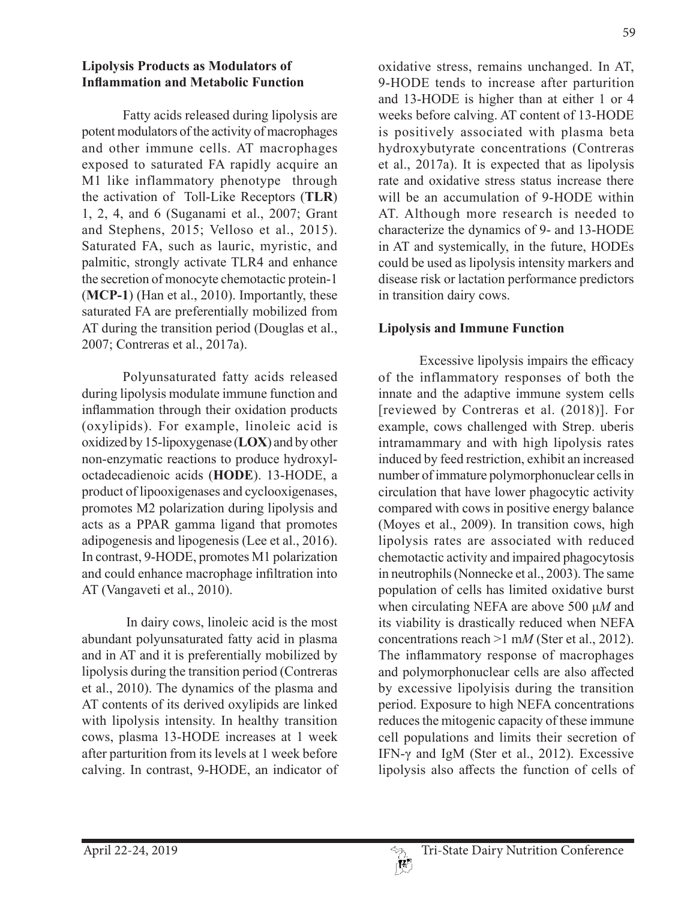#### **Lipolysis Products as Modulators of Inflammation and Metabolic Function**

Fatty acids released during lipolysis are potent modulators of the activity of macrophages and other immune cells. AT macrophages exposed to saturated FA rapidly acquire an M1 like inflammatory phenotype through the activation of Toll-Like Receptors (**TLR**) 1, 2, 4, and 6 (Suganami et al., 2007; Grant and Stephens, 2015; Velloso et al., 2015). Saturated FA, such as lauric, myristic, and palmitic, strongly activate TLR4 and enhance the secretion of monocyte chemotactic protein-1 (**MCP-1**) (Han et al., 2010). Importantly, these saturated FA are preferentially mobilized from AT during the transition period (Douglas et al., 2007; Contreras et al., 2017a).

Polyunsaturated fatty acids released during lipolysis modulate immune function and inflammation through their oxidation products (oxylipids). For example, linoleic acid is oxidized by 15-lipoxygenase (**LOX**) and by other non-enzymatic reactions to produce hydroxyloctadecadienoic acids (**HODE**). 13-HODE, a product of lipooxigenases and cyclooxigenases, promotes M2 polarization during lipolysis and acts as a PPAR gamma ligand that promotes adipogenesis and lipogenesis (Lee et al., 2016). In contrast, 9-HODE, promotes M1 polarization and could enhance macrophage infiltration into AT (Vangaveti et al., 2010).

 In dairy cows, linoleic acid is the most abundant polyunsaturated fatty acid in plasma and in AT and it is preferentially mobilized by lipolysis during the transition period (Contreras et al., 2010). The dynamics of the plasma and AT contents of its derived oxylipids are linked with lipolysis intensity. In healthy transition cows, plasma 13-HODE increases at 1 week after parturition from its levels at 1 week before calving. In contrast, 9-HODE, an indicator of oxidative stress, remains unchanged. In AT, 9-HODE tends to increase after parturition and 13-HODE is higher than at either 1 or 4 weeks before calving. AT content of 13-HODE is positively associated with plasma beta hydroxybutyrate concentrations (Contreras et al., 2017a). It is expected that as lipolysis rate and oxidative stress status increase there will be an accumulation of 9-HODE within AT. Although more research is needed to characterize the dynamics of 9- and 13-HODE in AT and systemically, in the future, HODEs could be used as lipolysis intensity markers and disease risk or lactation performance predictors in transition dairy cows.

# **Lipolysis and Immune Function**

Excessive lipolysis impairs the efficacy of the inflammatory responses of both the innate and the adaptive immune system cells [reviewed by Contreras et al. (2018)]. For example, cows challenged with Strep. uberis intramammary and with high lipolysis rates induced by feed restriction, exhibit an increased number of immature polymorphonuclear cells in circulation that have lower phagocytic activity compared with cows in positive energy balance (Moyes et al., 2009). In transition cows, high lipolysis rates are associated with reduced chemotactic activity and impaired phagocytosis in neutrophils (Nonnecke et al., 2003). The same population of cells has limited oxidative burst when circulating NEFA are above 500 μ*M* and its viability is drastically reduced when NEFA concentrations reach >1 m*M* (Ster et al., 2012). The inflammatory response of macrophages and polymorphonuclear cells are also affected by excessive lipolyisis during the transition period. Exposure to high NEFA concentrations reduces the mitogenic capacity of these immune cell populations and limits their secretion of IFN- $\gamma$  and IgM (Ster et al., 2012). Excessive lipolysis also affects the function of cells of

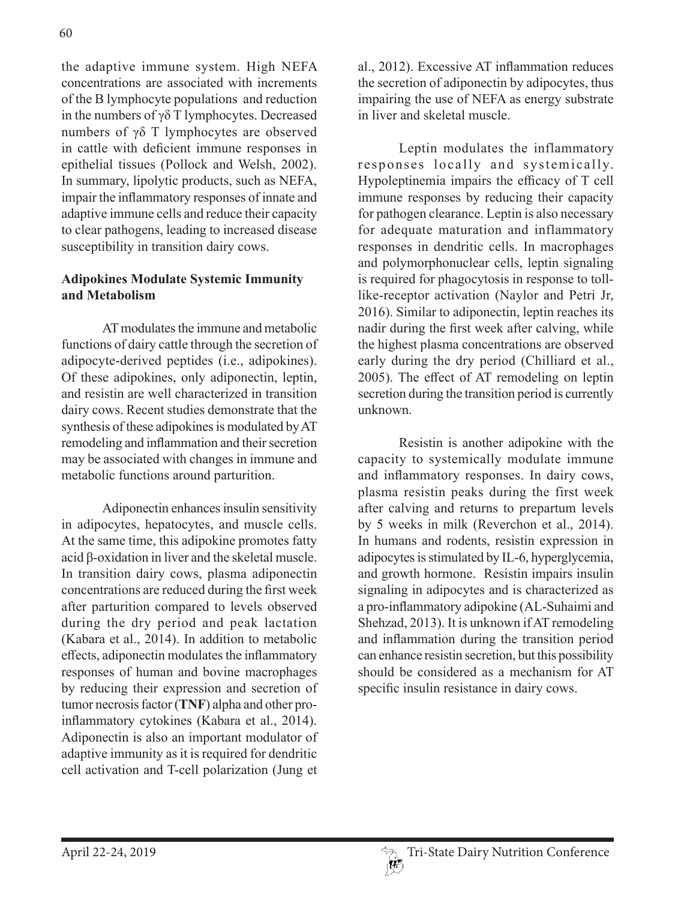the adaptive immune system. High NEFA concentrations are associated with increments of the B lymphocyte populations and reduction in the numbers of γδ T lymphocytes. Decreased numbers of γδ T lymphocytes are observed in cattle with deficient immune responses in epithelial tissues (Pollock and Welsh, 2002). In summary, lipolytic products, such as NEFA, impair the inflammatory responses of innate and adaptive immune cells and reduce their capacity to clear pathogens, leading to increased disease susceptibility in transition dairy cows.

### **Adipokines Modulate Systemic Immunity and Metabolism**

AT modulates the immune and metabolic functions of dairy cattle through the secretion of adipocyte-derived peptides (i.e., adipokines). Of these adipokines, only adiponectin, leptin, and resistin are well characterized in transition dairy cows. Recent studies demonstrate that the synthesis of these adipokines is modulated by AT remodeling and inflammation and their secretion may be associated with changes in immune and metabolic functions around parturition.

Adiponectin enhances insulin sensitivity in adipocytes, hepatocytes, and muscle cells. At the same time, this adipokine promotes fatty acid β-oxidation in liver and the skeletal muscle. In transition dairy cows, plasma adiponectin concentrations are reduced during the first week after parturition compared to levels observed during the dry period and peak lactation (Kabara et al., 2014). In addition to metabolic effects, adiponectin modulates the inflammatory responses of human and bovine macrophages by reducing their expression and secretion of tumor necrosis factor (**TNF**) alpha and other proinflammatory cytokines (Kabara et al., 2014). Adiponectin is also an important modulator of adaptive immunity as it is required for dendritic cell activation and T-cell polarization (Jung et

al., 2012). Excessive AT inflammation reduces the secretion of adiponectin by adipocytes, thus impairing the use of NEFA as energy substrate in liver and skeletal muscle.

Leptin modulates the inflammatory responses locally and systemically. Hypoleptinemia impairs the efficacy of T cell immune responses by reducing their capacity for pathogen clearance. Leptin is also necessary for adequate maturation and inflammatory responses in dendritic cells. In macrophages and polymorphonuclear cells, leptin signaling is required for phagocytosis in response to tolllike-receptor activation (Naylor and Petri Jr, 2016). Similar to adiponectin, leptin reaches its nadir during the first week after calving, while the highest plasma concentrations are observed early during the dry period (Chilliard et al., 2005). The effect of AT remodeling on leptin secretion during the transition period is currently unknown.

Resistin is another adipokine with the capacity to systemically modulate immune and inflammatory responses. In dairy cows, plasma resistin peaks during the first week after calving and returns to prepartum levels by 5 weeks in milk (Reverchon et al., 2014). In humans and rodents, resistin expression in adipocytes is stimulated by IL-6, hyperglycemia, and growth hormone. Resistin impairs insulin signaling in adipocytes and is characterized as a pro-inflammatory adipokine (AL-Suhaimi and Shehzad, 2013). It is unknown if AT remodeling and inflammation during the transition period can enhance resistin secretion, but this possibility should be considered as a mechanism for AT specific insulin resistance in dairy cows.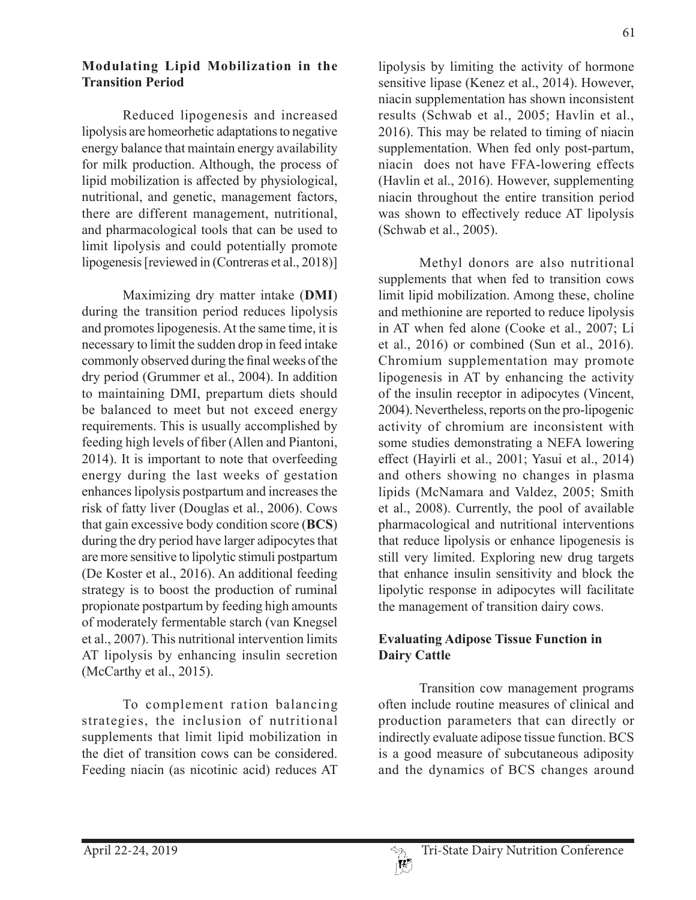### **Modulating Lipid Mobilization in the Transition Period**

Reduced lipogenesis and increased lipolysis are homeorhetic adaptations to negative energy balance that maintain energy availability for milk production. Although, the process of lipid mobilization is affected by physiological, nutritional, and genetic, management factors, there are different management, nutritional, and pharmacological tools that can be used to limit lipolysis and could potentially promote lipogenesis [reviewed in (Contreras et al., 2018)]

Maximizing dry matter intake (**DMI**) during the transition period reduces lipolysis and promotes lipogenesis. At the same time, it is necessary to limit the sudden drop in feed intake commonly observed during the final weeks of the dry period (Grummer et al., 2004). In addition to maintaining DMI, prepartum diets should be balanced to meet but not exceed energy requirements. This is usually accomplished by feeding high levels of fiber (Allen and Piantoni, 2014). It is important to note that overfeeding energy during the last weeks of gestation enhances lipolysis postpartum and increases the risk of fatty liver (Douglas et al., 2006). Cows that gain excessive body condition score (**BCS**) during the dry period have larger adipocytes that are more sensitive to lipolytic stimuli postpartum (De Koster et al., 2016). An additional feeding strategy is to boost the production of ruminal propionate postpartum by feeding high amounts of moderately fermentable starch (van Knegsel et al., 2007). This nutritional intervention limits AT lipolysis by enhancing insulin secretion (McCarthy et al., 2015).

To complement ration balancing strategies, the inclusion of nutritional supplements that limit lipid mobilization in the diet of transition cows can be considered. Feeding niacin (as nicotinic acid) reduces AT

lipolysis by limiting the activity of hormone sensitive lipase (Kenez et al., 2014). However, niacin supplementation has shown inconsistent results (Schwab et al., 2005; Havlin et al., 2016). This may be related to timing of niacin supplementation. When fed only post-partum, niacin does not have FFA-lowering effects (Havlin et al., 2016). However, supplementing niacin throughout the entire transition period was shown to effectively reduce AT lipolysis (Schwab et al., 2005).

Methyl donors are also nutritional supplements that when fed to transition cows limit lipid mobilization. Among these, choline and methionine are reported to reduce lipolysis in AT when fed alone (Cooke et al., 2007; Li et al., 2016) or combined (Sun et al., 2016). Chromium supplementation may promote lipogenesis in AT by enhancing the activity of the insulin receptor in adipocytes (Vincent, 2004). Nevertheless, reports on the pro-lipogenic activity of chromium are inconsistent with some studies demonstrating a NEFA lowering effect (Hayirli et al., 2001; Yasui et al., 2014) and others showing no changes in plasma lipids (McNamara and Valdez, 2005; Smith et al., 2008). Currently, the pool of available pharmacological and nutritional interventions that reduce lipolysis or enhance lipogenesis is still very limited. Exploring new drug targets that enhance insulin sensitivity and block the lipolytic response in adipocytes will facilitate the management of transition dairy cows.

# **Evaluating Adipose Tissue Function in Dairy Cattle**

Transition cow management programs often include routine measures of clinical and production parameters that can directly or indirectly evaluate adipose tissue function. BCS is a good measure of subcutaneous adiposity and the dynamics of BCS changes around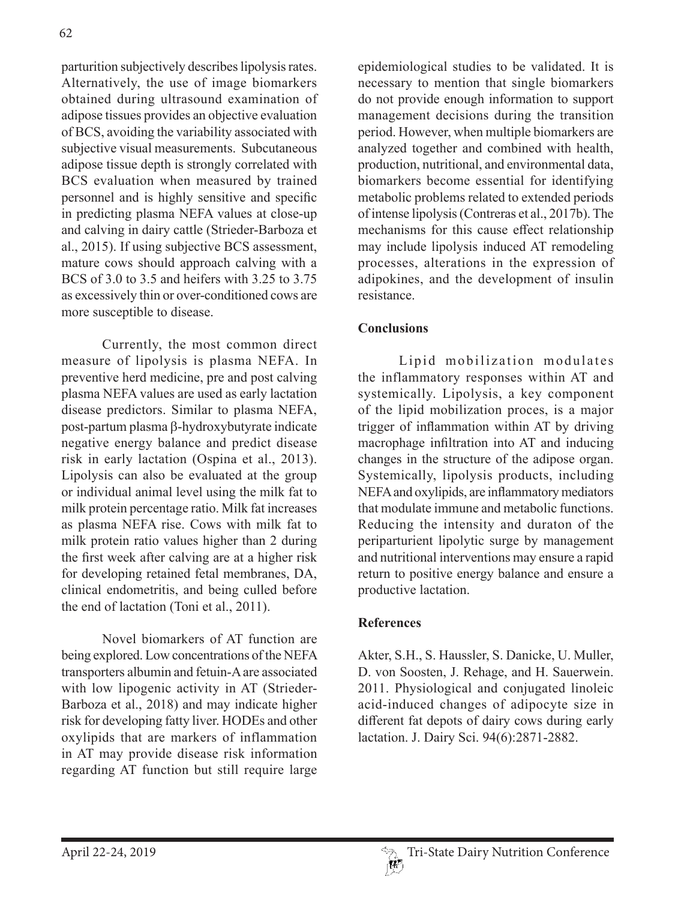parturition subjectively describes lipolysis rates. Alternatively, the use of image biomarkers obtained during ultrasound examination of adipose tissues provides an objective evaluation of BCS, avoiding the variability associated with subjective visual measurements. Subcutaneous adipose tissue depth is strongly correlated with BCS evaluation when measured by trained personnel and is highly sensitive and specific in predicting plasma NEFA values at close-up and calving in dairy cattle (Strieder-Barboza et al., 2015). If using subjective BCS assessment, mature cows should approach calving with a BCS of 3.0 to 3.5 and heifers with 3.25 to 3.75 as excessively thin or over-conditioned cows are more susceptible to disease.

Currently, the most common direct measure of lipolysis is plasma NEFA. In preventive herd medicine, pre and post calving plasma NEFA values are used as early lactation disease predictors. Similar to plasma NEFA,  $post-partum plasma \beta-hydroxybutyrate indicate$ negative energy balance and predict disease risk in early lactation (Ospina et al., 2013). Lipolysis can also be evaluated at the group or individual animal level using the milk fat to milk protein percentage ratio. Milk fat increases as plasma NEFA rise. Cows with milk fat to milk protein ratio values higher than 2 during the first week after calving are at a higher risk for developing retained fetal membranes, DA, clinical endometritis, and being culled before the end of lactation (Toni et al., 2011).

Novel biomarkers of AT function are being explored. Low concentrations of the NEFA transporters albumin and fetuin-A are associated with low lipogenic activity in AT (Strieder-Barboza et al., 2018) and may indicate higher risk for developing fatty liver. HODEs and other oxylipids that are markers of inflammation in AT may provide disease risk information regarding AT function but still require large

epidemiological studies to be validated. It is necessary to mention that single biomarkers do not provide enough information to support management decisions during the transition period. However, when multiple biomarkers are analyzed together and combined with health, production, nutritional, and environmental data, biomarkers become essential for identifying metabolic problems related to extended periods of intense lipolysis (Contreras et al., 2017b). The mechanisms for this cause effect relationship may include lipolysis induced AT remodeling processes, alterations in the expression of adipokines, and the development of insulin resistance.

# **Conclusions**

Lipid mobilization modulates the inflammatory responses within AT and systemically. Lipolysis, a key component of the lipid mobilization proces, is a major trigger of inflammation within AT by driving macrophage infiltration into AT and inducing changes in the structure of the adipose organ. Systemically, lipolysis products, including NEFA and oxylipids, are inflammatory mediators that modulate immune and metabolic functions. Reducing the intensity and duraton of the periparturient lipolytic surge by management and nutritional interventions may ensure a rapid return to positive energy balance and ensure a productive lactation.

#### **References**

Akter, S.H., S. Haussler, S. Danicke, U. Muller, D. von Soosten, J. Rehage, and H. Sauerwein. 2011. Physiological and conjugated linoleic acid-induced changes of adipocyte size in different fat depots of dairy cows during early lactation. J. Dairy Sci. 94(6):2871-2882.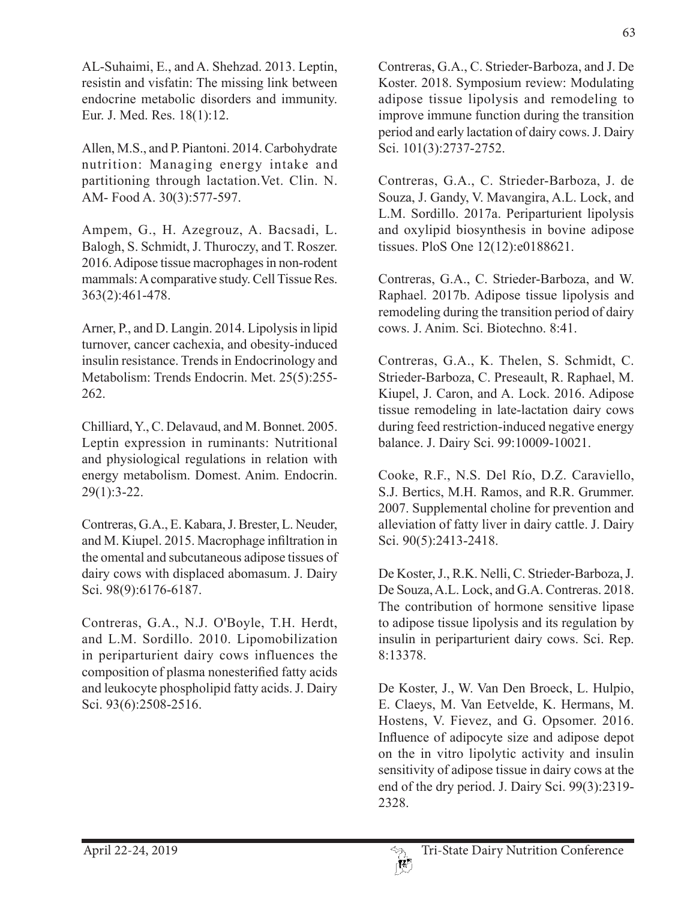AL-Suhaimi, E., and A. Shehzad. 2013. Leptin, resistin and visfatin: The missing link between endocrine metabolic disorders and immunity. Eur. J. Med. Res. 18(1):12.

Allen, M.S., and P. Piantoni. 2014. Carbohydrate nutrition: Managing energy intake and partitioning through lactation.Vet. Clin. N. AM- Food A. 30(3):577-597.

Ampem, G., H. Azegrouz, A. Bacsadi, L. Balogh, S. Schmidt, J. Thuroczy, and T. Roszer. 2016. Adipose tissue macrophages in non-rodent mammals: A comparative study. Cell Tissue Res. 363(2):461-478.

Arner, P., and D. Langin. 2014. Lipolysis in lipid turnover, cancer cachexia, and obesity-induced insulin resistance. Trends in Endocrinology and Metabolism: Trends Endocrin. Met. 25(5):255- 262.

Chilliard, Y., C. Delavaud, and M. Bonnet. 2005. Leptin expression in ruminants: Nutritional and physiological regulations in relation with energy metabolism. Domest. Anim. Endocrin. 29(1):3-22.

Contreras, G.A., E. Kabara, J. Brester, L. Neuder, and M. Kiupel. 2015. Macrophage infiltration in the omental and subcutaneous adipose tissues of dairy cows with displaced abomasum. J. Dairy Sci. 98(9):6176-6187.

Contreras, G.A., N.J. O'Boyle, T.H. Herdt, and L.M. Sordillo. 2010. Lipomobilization in periparturient dairy cows influences the composition of plasma nonesterified fatty acids and leukocyte phospholipid fatty acids. J. Dairy Sci. 93(6):2508-2516.

Contreras, G.A., C. Strieder-Barboza, and J. De Koster. 2018. Symposium review: Modulating adipose tissue lipolysis and remodeling to improve immune function during the transition period and early lactation of dairy cows. J. Dairy Sci. 101(3):2737-2752.

Contreras, G.A., C. Strieder-Barboza, J. de Souza, J. Gandy, V. Mavangira, A.L. Lock, and L.M. Sordillo. 2017a. Periparturient lipolysis and oxylipid biosynthesis in bovine adipose tissues. PloS One 12(12):e0188621.

Contreras, G.A., C. Strieder-Barboza, and W. Raphael. 2017b. Adipose tissue lipolysis and remodeling during the transition period of dairy cows. J. Anim. Sci. Biotechno. 8:41.

Contreras, G.A., K. Thelen, S. Schmidt, C. Strieder-Barboza, C. Preseault, R. Raphael, M. Kiupel, J. Caron, and A. Lock. 2016. Adipose tissue remodeling in late-lactation dairy cows during feed restriction-induced negative energy balance. J. Dairy Sci. 99:10009-10021.

Cooke, R.F., N.S. Del Río, D.Z. Caraviello, S.J. Bertics, M.H. Ramos, and R.R. Grummer. 2007. Supplemental choline for prevention and alleviation of fatty liver in dairy cattle. J. Dairy Sci. 90(5):2413-2418.

De Koster, J., R.K. Nelli, C. Strieder-Barboza, J. De Souza, A.L. Lock, and G.A. Contreras. 2018. The contribution of hormone sensitive lipase to adipose tissue lipolysis and its regulation by insulin in periparturient dairy cows. Sci. Rep. 8:13378.

De Koster, J., W. Van Den Broeck, L. Hulpio, E. Claeys, M. Van Eetvelde, K. Hermans, M. Hostens, V. Fievez, and G. Opsomer. 2016. Influence of adipocyte size and adipose depot on the in vitro lipolytic activity and insulin sensitivity of adipose tissue in dairy cows at the end of the dry period. J. Dairy Sci. 99(3):2319- 2328.

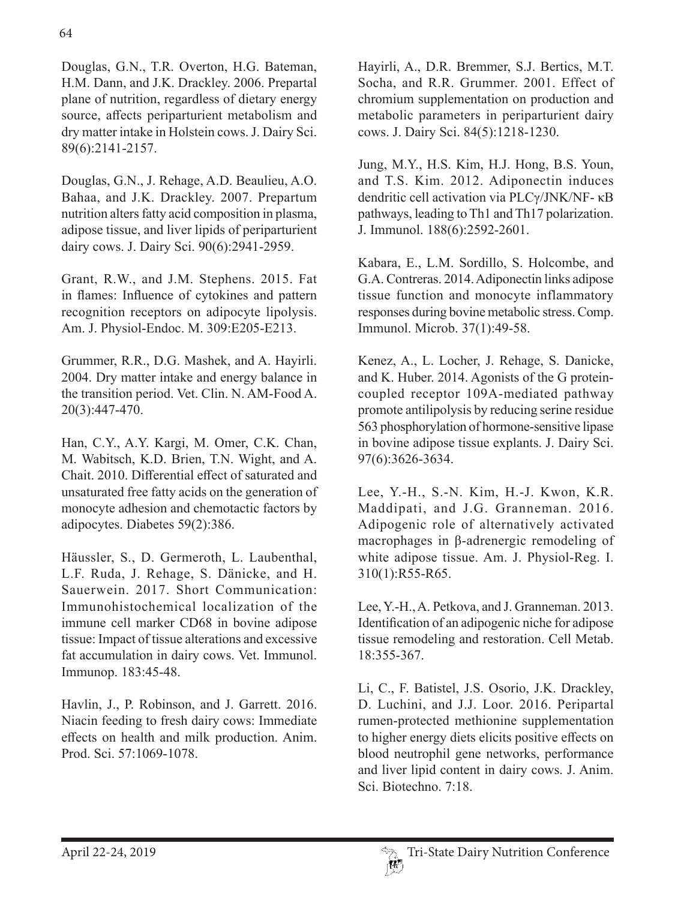Douglas, G.N., T.R. Overton, H.G. Bateman, H.M. Dann, and J.K. Drackley. 2006. Prepartal plane of nutrition, regardless of dietary energy source, affects periparturient metabolism and dry matter intake in Holstein cows. J. Dairy Sci. 89(6):2141-2157.

Douglas, G.N., J. Rehage, A.D. Beaulieu, A.O. Bahaa, and J.K. Drackley. 2007. Prepartum nutrition alters fatty acid composition in plasma, adipose tissue, and liver lipids of periparturient dairy cows. J. Dairy Sci. 90(6):2941-2959.

Grant, R.W., and J.M. Stephens. 2015. Fat in flames: Influence of cytokines and pattern recognition receptors on adipocyte lipolysis. Am. J. Physiol-Endoc. M. 309:E205-E213.

Grummer, R.R., D.G. Mashek, and A. Hayirli. 2004. Dry matter intake and energy balance in the transition period. Vet. Clin. N. AM-Food A. 20(3):447-470.

Han, C.Y., A.Y. Kargi, M. Omer, C.K. Chan, M. Wabitsch, K.D. Brien, T.N. Wight, and A. Chait. 2010. Differential effect of saturated and unsaturated free fatty acids on the generation of monocyte adhesion and chemotactic factors by adipocytes. Diabetes 59(2):386.

Häussler, S., D. Germeroth, L. Laubenthal, L.F. Ruda, J. Rehage, S. Dänicke, and H. Sauerwein. 2017. Short Communication: Immunohistochemical localization of the immune cell marker CD68 in bovine adipose tissue: Impact of tissue alterations and excessive fat accumulation in dairy cows. Vet. Immunol. Immunop. 183:45-48.

Havlin, J., P. Robinson, and J. Garrett. 2016. Niacin feeding to fresh dairy cows: Immediate effects on health and milk production. Anim. Prod. Sci. 57:1069-1078.

Hayirli, A., D.R. Bremmer, S.J. Bertics, M.T. Socha, and R.R. Grummer. 2001. Effect of chromium supplementation on production and metabolic parameters in periparturient dairy cows. J. Dairy Sci. 84(5):1218-1230.

Jung, M.Y., H.S. Kim, H.J. Hong, B.S. Youn, and T.S. Kim. 2012. Adiponectin induces dendritic cell activation via PLCγ/JNK/NF- κB pathways, leading to Th1 and Th17 polarization. J. Immunol. 188(6):2592-2601.

Kabara, E., L.M. Sordillo, S. Holcombe, and G.A. Contreras. 2014. Adiponectin links adipose tissue function and monocyte inflammatory responses during bovine metabolic stress. Comp. Immunol. Microb. 37(1):49-58.

Kenez, A., L. Locher, J. Rehage, S. Danicke, and K. Huber. 2014. Agonists of the G proteincoupled receptor 109A-mediated pathway promote antilipolysis by reducing serine residue 563 phosphorylation of hormone-sensitive lipase in bovine adipose tissue explants. J. Dairy Sci. 97(6):3626-3634.

Lee, Y.-H., S.-N. Kim, H.-J. Kwon, K.R. Maddipati, and J.G. Granneman. 2016. Adipogenic role of alternatively activated macrophages in β-adrenergic remodeling of white adipose tissue. Am. J. Physiol-Reg. I. 310(1):R55-R65.

Lee, Y.-H., A. Petkova, and J. Granneman. 2013. Identification of an adipogenic niche for adipose tissue remodeling and restoration. Cell Metab. 18:355-367.

Li, C., F. Batistel, J.S. Osorio, J.K. Drackley, D. Luchini, and J.J. Loor. 2016. Peripartal rumen-protected methionine supplementation to higher energy diets elicits positive effects on blood neutrophil gene networks, performance and liver lipid content in dairy cows. J. Anim. Sci. Biotechno. 7:18.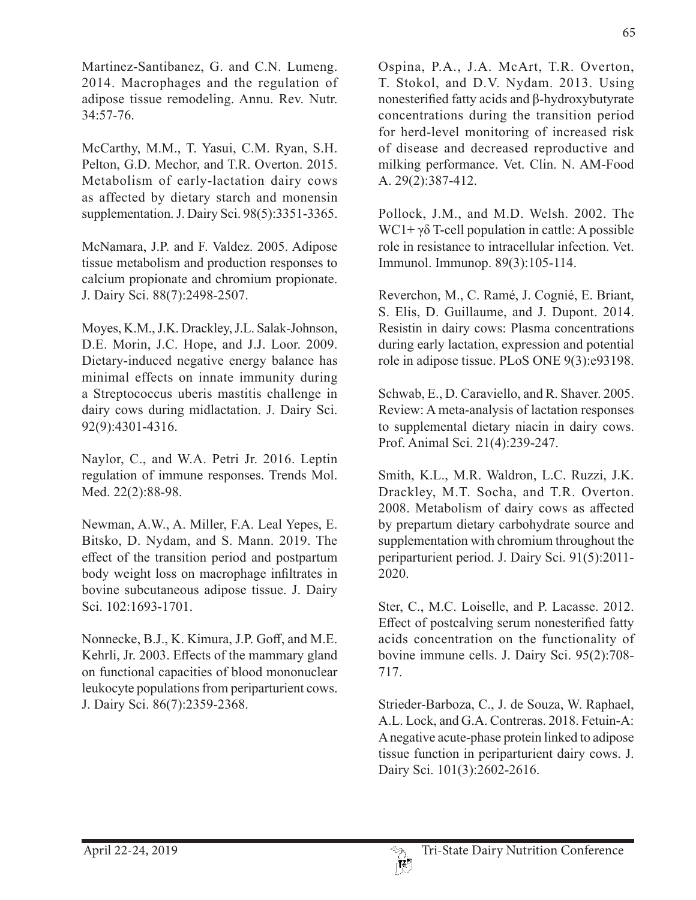Martinez-Santibanez, G. and C.N. Lumeng. 2014. Macrophages and the regulation of adipose tissue remodeling. Annu. Rev. Nutr. 34:57-76.

McCarthy, M.M., T. Yasui, C.M. Ryan, S.H. Pelton, G.D. Mechor, and T.R. Overton. 2015. Metabolism of early-lactation dairy cows as affected by dietary starch and monensin supplementation. J. Dairy Sci. 98(5):3351-3365.

McNamara, J.P. and F. Valdez. 2005. Adipose tissue metabolism and production responses to calcium propionate and chromium propionate. J. Dairy Sci. 88(7):2498-2507.

Moyes, K.M., J.K. Drackley, J.L. Salak-Johnson, D.E. Morin, J.C. Hope, and J.J. Loor. 2009. Dietary-induced negative energy balance has minimal effects on innate immunity during a Streptococcus uberis mastitis challenge in dairy cows during midlactation. J. Dairy Sci. 92(9):4301-4316.

Naylor, C., and W.A. Petri Jr. 2016. Leptin regulation of immune responses. Trends Mol. Med. 22(2):88-98.

Newman, A.W., A. Miller, F.A. Leal Yepes, E. Bitsko, D. Nydam, and S. Mann. 2019. The effect of the transition period and postpartum body weight loss on macrophage infiltrates in bovine subcutaneous adipose tissue. J. Dairy Sci. 102:1693-1701.

Nonnecke, B.J., K. Kimura, J.P. Goff, and M.E. Kehrli, Jr. 2003. Effects of the mammary gland on functional capacities of blood mononuclear leukocyte populations from periparturient cows. J. Dairy Sci. 86(7):2359-2368.

Ospina, P.A., J.A. McArt, T.R. Overton, T. Stokol, and D.V. Nydam. 2013. Using nonesterified fatty acids and β-hydroxybutyrate concentrations during the transition period for herd-level monitoring of increased risk of disease and decreased reproductive and milking performance. Vet. Clin. N. AM-Food A. 29(2):387-412.

Pollock, J.M., and M.D. Welsh. 2002. The WC1+ γδ T-cell population in cattle: A possible role in resistance to intracellular infection. Vet. Immunol. Immunop. 89(3):105-114.

Reverchon, M., C. Ramé, J. Cognié, E. Briant, S. Elis, D. Guillaume, and J. Dupont. 2014. Resistin in dairy cows: Plasma concentrations during early lactation, expression and potential role in adipose tissue. PLoS ONE 9(3):e93198.

Schwab, E., D. Caraviello, and R. Shaver. 2005. Review: A meta-analysis of lactation responses to supplemental dietary niacin in dairy cows. Prof. Animal Sci. 21(4):239-247.

Smith, K.L., M.R. Waldron, L.C. Ruzzi, J.K. Drackley, M.T. Socha, and T.R. Overton. 2008. Metabolism of dairy cows as affected by prepartum dietary carbohydrate source and supplementation with chromium throughout the periparturient period. J. Dairy Sci. 91(5):2011- 2020.

Ster, C., M.C. Loiselle, and P. Lacasse. 2012. Effect of postcalving serum nonesterified fatty acids concentration on the functionality of bovine immune cells. J. Dairy Sci. 95(2):708- 717.

Strieder-Barboza, C., J. de Souza, W. Raphael, A.L. Lock, and G.A. Contreras. 2018. Fetuin-A: A negative acute-phase protein linked to adipose tissue function in periparturient dairy cows. J. Dairy Sci. 101(3):2602-2616.